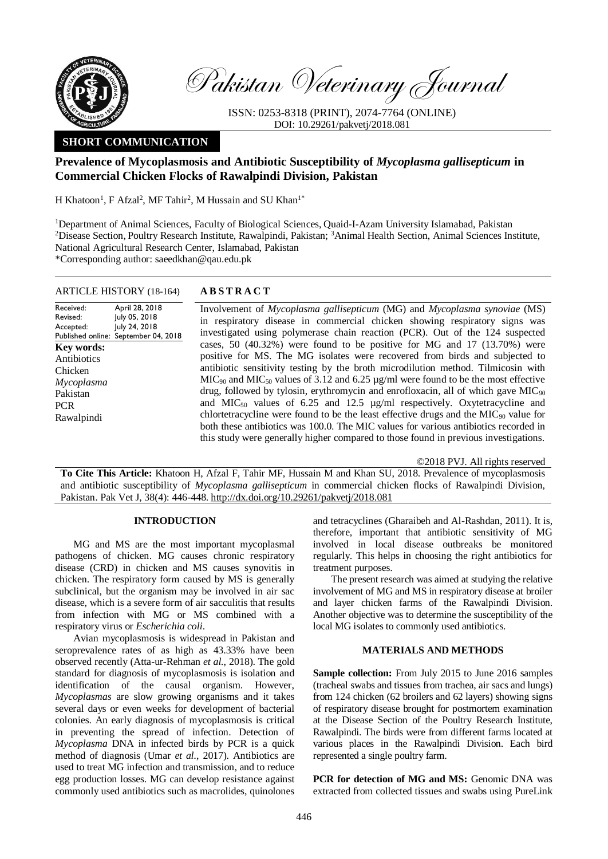

Pakistan Veterinary Journal

ISSN: 0253-8318 (PRINT), 2074-7764 (ONLINE) DOI: 10.29261/pakvetj/2018.081

# **SHORT COMMUNICATION**

# **Prevalence of Mycoplasmosis and Antibiotic Susceptibility of** *Mycoplasma gallisepticum* **in Commercial Chicken Flocks of Rawalpindi Division, Pakistan**

H Khatoon<sup>1</sup>, F Afzal<sup>2</sup>, MF Tahir<sup>2</sup>, M Hussain and SU Khan<sup>1\*</sup>

<sup>1</sup>Department of Animal Sciences, Faculty of Biological Sciences, Quaid-I-Azam University Islamabad, Pakistan <sup>2</sup>Disease Section, Poultry Research Institute, Rawalpindi, Pakistan; <sup>3</sup>Animal Health Section, Animal Sciences Institute, National Agricultural Research Center, Islamabad, Pakistan \*Corresponding author: saeedkhan@qau.edu.pk

## ARTICLE HISTORY (18-164) **A B S T R A C T**

Received: Revised: Accepted: Published online: April 28, 2018 July 05, 2018 July 24, 2018 September 04, 2018 **Key words:**  Antibiotics Chicken *Mycoplasma* Pakistan PCR Rawalpindi

Involvement of *Mycoplasma gallisepticum* (MG) and *Mycoplasma synoviae* (MS) in respiratory disease in commercial chicken showing respiratory signs was investigated using polymerase chain reaction (PCR). Out of the 124 suspected cases, 50 (40.32%) were found to be positive for MG and 17 (13.70%) were positive for MS. The MG isolates were recovered from birds and subjected to antibiotic sensitivity testing by the broth microdilution method. Tilmicosin with  $MIC<sub>90</sub>$  and  $MIC<sub>50</sub>$  values of 3.12 and 6.25  $\mu$ g/ml were found to be the most effective drug, followed by tylosin, erythromycin and enrofloxacin, all of which gave MIC<sub>90</sub> and  $MIC<sub>50</sub>$  values of 6.25 and 12.5  $\mu$ g/ml respectively. Oxytetracycline and chlortetracycline were found to be the least effective drugs and the  $MIC<sub>90</sub>$  value for both these antibiotics was 100.0. The MIC values for various antibiotics recorded in this study were generally higher compared to those found in previous investigations.

©2018 PVJ. All rights reserved

**To Cite This Article:** Khatoon H, Afzal F, Tahir MF, Hussain M and Khan SU, 2018. Prevalence of mycoplasmosis and antibiotic susceptibility of *Mycoplasma gallisepticum* in commercial chicken flocks of Rawalpindi Division, Pakistan. Pak Vet J, 38(4): 446-448. [http://dx.doi.org/10.29261/pakvetj/2018.081](http://pvj.com.pk/pdf-files/38_4/446-448.pdf) 

## **INTRODUCTION**

MG and MS are the most important mycoplasmal pathogens of chicken. MG causes chronic respiratory disease (CRD) in chicken and MS causes synovitis in chicken. The respiratory form caused by MS is generally subclinical, but the organism may be involved in air sac disease, which is a severe form of air sacculitis that results from infection with MG or MS combined with a respiratory virus or *Escherichia coli*.

Avian mycoplasmosis is widespread in Pakistan and seroprevalence rates of as high as 43.33% have been observed recently (Atta-ur-Rehman *et al.*, 2018). The gold standard for diagnosis of mycoplasmosis is isolation and identification of the causal organism. However, *Mycoplasmas* are slow growing organisms and it takes several days or even weeks for development of bacterial colonies. An early diagnosis of mycoplasmosis is critical in preventing the spread of infection. Detection of *Mycoplasma* DNA in infected birds by PCR is a quick method of diagnosis (Umar *et al.*, 2017). Antibiotics are used to treat MG infection and transmission, and to reduce egg production losses. MG can develop resistance against commonly used antibiotics such as macrolides, quinolones

and tetracyclines (Gharaibeh and Al-Rashdan, 2011). It is, therefore, important that antibiotic sensitivity of MG involved in local disease outbreaks be monitored regularly. This helps in choosing the right antibiotics for treatment purposes.

The present research was aimed at studying the relative involvement of MG and MS in respiratory disease at broiler and layer chicken farms of the Rawalpindi Division. Another objective was to determine the susceptibility of the local MG isolates to commonly used antibiotics.

## **MATERIALS AND METHODS**

**Sample collection:** From July 2015 to June 2016 samples (tracheal swabs and tissues from trachea, air sacs and lungs) from 124 chicken (62 broilers and 62 layers) showing signs of respiratory disease brought for postmortem examination at the Disease Section of the Poultry Research Institute, Rawalpindi. The birds were from different farms located at various places in the Rawalpindi Division. Each bird represented a single poultry farm.

**PCR** for detection of MG and MS: Genomic DNA was extracted from collected tissues and swabs using PureLink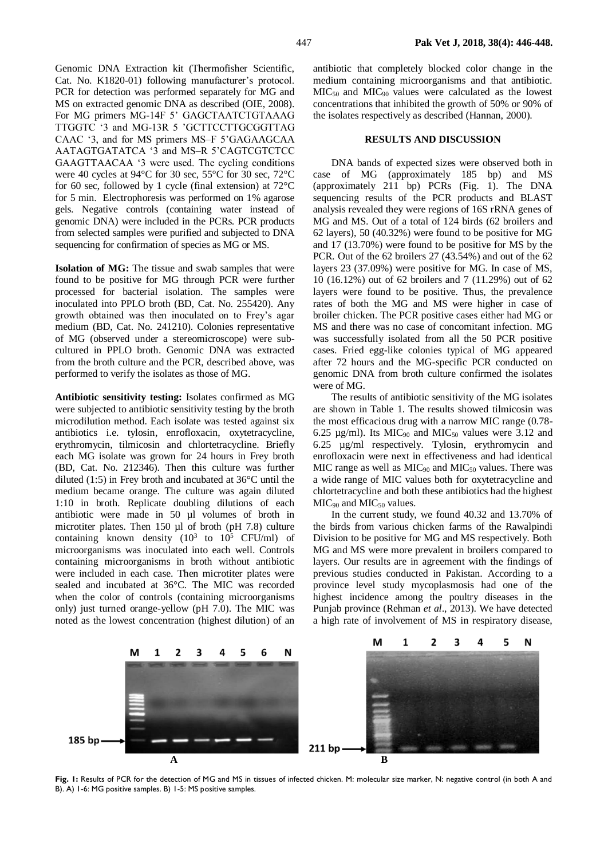Genomic DNA Extraction kit (Thermofisher Scientific, Cat. No. K1820-01) following manufacturer's protocol. PCR for detection was performed separately for MG and MS on extracted genomic DNA as described (OIE, 2008). For MG primers MG-14F 5' GAGCTAATCTGTAAAG TTGGTC '3 and MG-13R 5 'GCTTCCTTGCGGTTAG CAAC '3, and for MS primers MS–F 5'GAGAAGCAA AATAGTGATATCA '3 and MS–R 5'CAGTCGTCTCC GAAGTTAACAA '3 were used. The cycling conditions were 40 cycles at 94°C for 30 sec, 55°C for 30 sec, 72°C for 60 sec, followed by 1 cycle (final extension) at 72°C for 5 min. Electrophoresis was performed on 1% agarose gels. Negative controls (containing water instead of genomic DNA) were included in the PCRs. PCR products from selected samples were purified and subjected to DNA sequencing for confirmation of species as MG or MS.

**Isolation of MG:** The tissue and swab samples that were found to be positive for MG through PCR were further processed for bacterial isolation. The samples were inoculated into PPLO broth (BD, Cat. No. 255420). Any growth obtained was then inoculated on to Frey's agar medium (BD, Cat. No. 241210). Colonies representative of MG (observed under a stereomicroscope) were subcultured in PPLO broth. Genomic DNA was extracted from the broth culture and the PCR, described above, was performed to verify the isolates as those of MG.

**Antibiotic sensitivity testing:** Isolates confirmed as MG were subjected to antibiotic sensitivity testing by the broth microdilution method. Each isolate was tested against six antibiotics i.e. tylosin, enrofloxacin, oxytetracycline, erythromycin, tilmicosin and chlortetracycline. Briefly each MG isolate was grown for 24 hours in Frey broth (BD, Cat. No. 212346). Then this culture was further diluted (1:5) in Frey broth and incubated at 36°C until the medium became orange. The culture was again diluted 1:10 in broth. Replicate doubling dilutions of each antibiotic were made in 50 µl volumes of broth in microtiter plates. Then 150 µl of broth (pH 7.8) culture containing known density  $(10^3 \text{ to } 10^5 \text{ CFU/ml})$  of microorganisms was inoculated into each well. Controls containing microorganisms in broth without antibiotic were included in each case. Then microtiter plates were sealed and incubated at 36°C. The MIC was recorded when the color of controls (containing microorganisms only) just turned orange-yellow (pH 7.0). The MIC was noted as the lowest concentration (highest dilution) of an antibiotic that completely blocked color change in the medium containing microorganisms and that antibiotic. MIC50 and MIC90 values were calculated as the lowest concentrations that inhibited the growth of 50% or 90% of the isolates respectively as described (Hannan, 2000).

#### **RESULTS AND DISCUSSION**

DNA bands of expected sizes were observed both in case of MG (approximately 185 bp) and MS (approximately 211 bp) PCRs (Fig. 1). The DNA sequencing results of the PCR products and BLAST analysis revealed they were regions of 16S rRNA genes of MG and MS. Out of a total of 124 birds (62 broilers and 62 layers), 50 (40.32%) were found to be positive for MG and 17 (13.70%) were found to be positive for MS by the PCR. Out of the 62 broilers 27 (43.54%) and out of the 62 layers 23 (37.09%) were positive for MG. In case of MS, 10 (16.12%) out of 62 broilers and 7 (11.29%) out of 62 layers were found to be positive. Thus, the prevalence rates of both the MG and MS were higher in case of broiler chicken. The PCR positive cases either had MG or MS and there was no case of concomitant infection. MG was successfully isolated from all the 50 PCR positive cases. Fried egg-like colonies typical of MG appeared after 72 hours and the MG-specific PCR conducted on genomic DNA from broth culture confirmed the isolates were of MG.

The results of antibiotic sensitivity of the MG isolates are shown in Table 1. The results showed tilmicosin was the most efficacious drug with a narrow MIC range (0.78- 6.25  $\mu$ g/ml). Its MIC<sub>90</sub> and MIC<sub>50</sub> values were 3.12 and 6.25 µg/ml respectively. Tylosin, erythromycin and enrofloxacin were next in effectiveness and had identical MIC range as well as  $MIC<sub>90</sub>$  and  $MIC<sub>50</sub>$  values. There was a wide range of MIC values both for oxytetracycline and chlortetracycline and both these antibiotics had the highest  $MIC<sub>90</sub>$  and  $MIC<sub>50</sub>$  values.

In the current study, we found 40.32 and 13.70% of the birds from various chicken farms of the Rawalpindi Division to be positive for MG and MS respectively. Both MG and MS were more prevalent in broilers compared to layers. Our results are in agreement with the findings of previous studies conducted in Pakistan. According to a province level study mycoplasmosis had one of the highest incidence among the poultry diseases in the Punjab province (Rehman *et al*., 2013). We have detected a high rate of involvement of MS in respiratory disease,



**Fig. 1:** Results of PCR for the detection of MG and MS in tissues of infected chicken. M: molecular size marker, N: negative control (in both A and B). A) 1-6: MG positive samples. B) 1-5: MS positive samples.